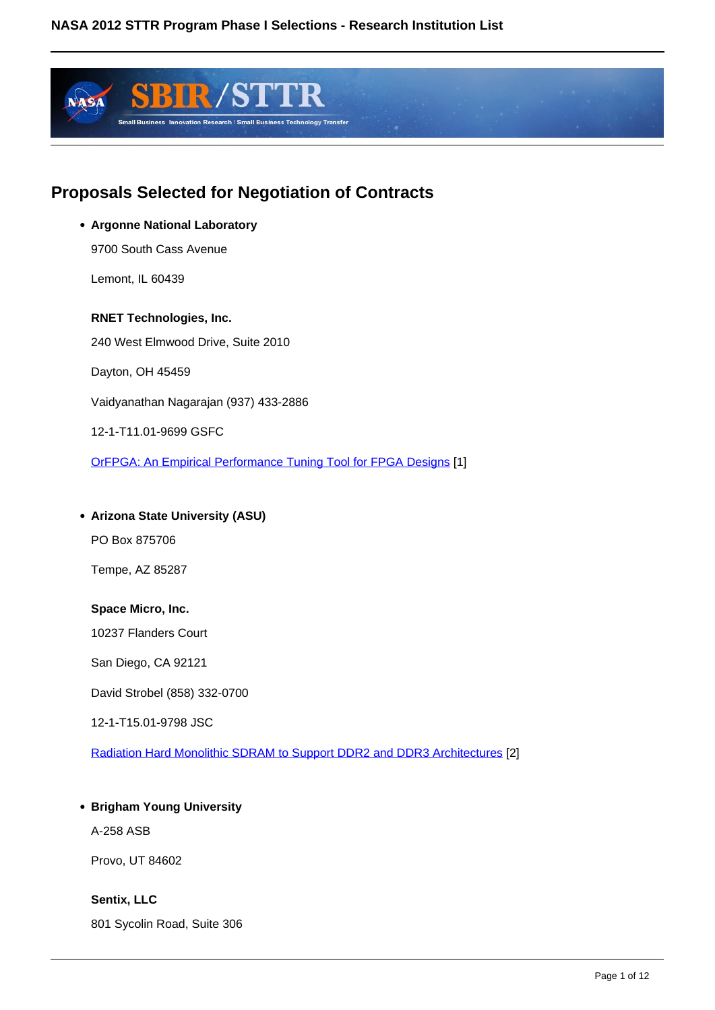

# **Proposals Selected for Negotiation of Contracts**

# **Argonne National Laboratory** 9700 South Cass Avenue Lemont, IL 60439 **RNET Technologies, Inc.** 240 West Elmwood Drive, Suite 2010 Dayton, OH 45459 Vaidyanathan Nagarajan (937) 433-2886 12-1-T11.01-9699 GSFC OrFPGA: An Empirical Performance Tuning Tool for FPGA Designs [1]

# **Arizona State University (ASU)**

PO Box 875706

Tempe, AZ 85287

#### **Space Micro, Inc.**

10237 Flanders Court

San Diego, CA 92121

David Strobel (858) 332-0700

12-1-T15.01-9798 JSC

Radiation Hard Monolithic SDRAM to Support DDR2 and DDR3 Architectures [2]

### **Brigham Young University**

A-258 ASB

Provo, UT 84602

#### **Sentix, LLC**

801 Sycolin Road, Suite 306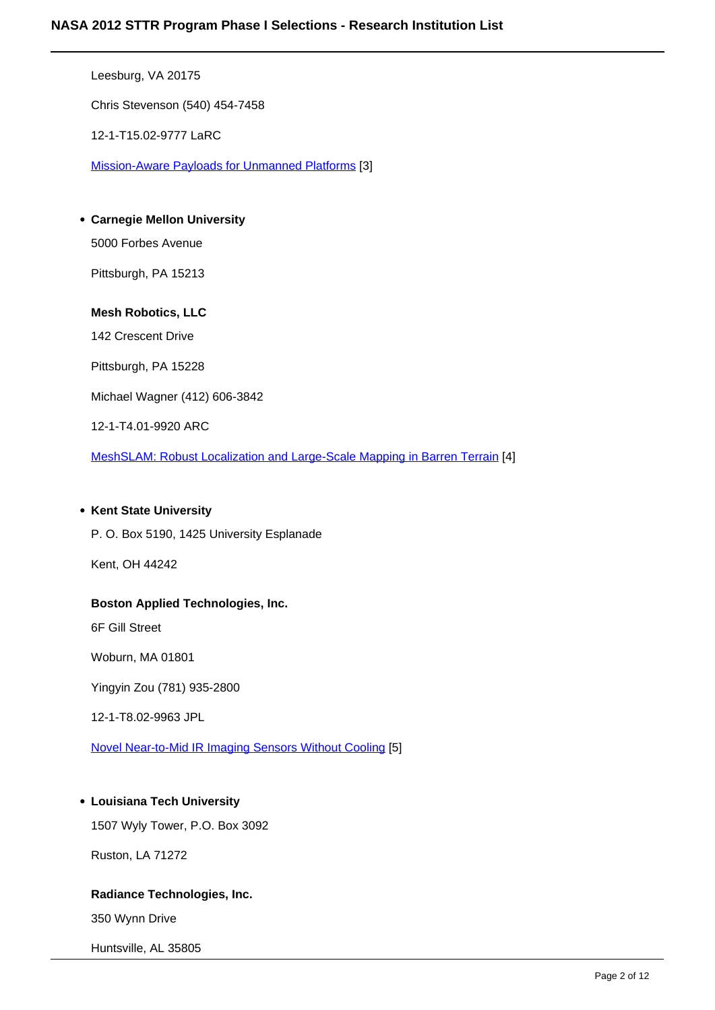# Leesburg, VA 20175 Chris Stevenson (540) 454-7458 12-1-T15.02-9777 LaRC Mission-Aware Payloads for Unmanned Platforms [3] **Carnegie Mellon University** 5000 Forbes Avenue Pittsburgh, PA 15213 **Mesh Robotics, LLC** 142 Crescent Drive Pittsburgh, PA 15228 Michael Wagner (412) 606-3842 12-1-T4.01-9920 ARC

MeshSLAM: Robust Localization and Large-Scale Mapping in Barren Terrain [4]

#### **• Kent State University**

P. O. Box 5190, 1425 University Esplanade

Kent, OH 44242

#### **Boston Applied Technologies, Inc.**

6F Gill Street

Woburn, MA 01801

Yingyin Zou (781) 935-2800

12-1-T8.02-9963 JPL

Novel Near-to-Mid IR Imaging Sensors Without Cooling [5]

#### **Louisiana Tech University**

1507 Wyly Tower, P.O. Box 3092

Ruston, LA 71272

#### **Radiance Technologies, Inc.**

350 Wynn Drive

Huntsville, AL 35805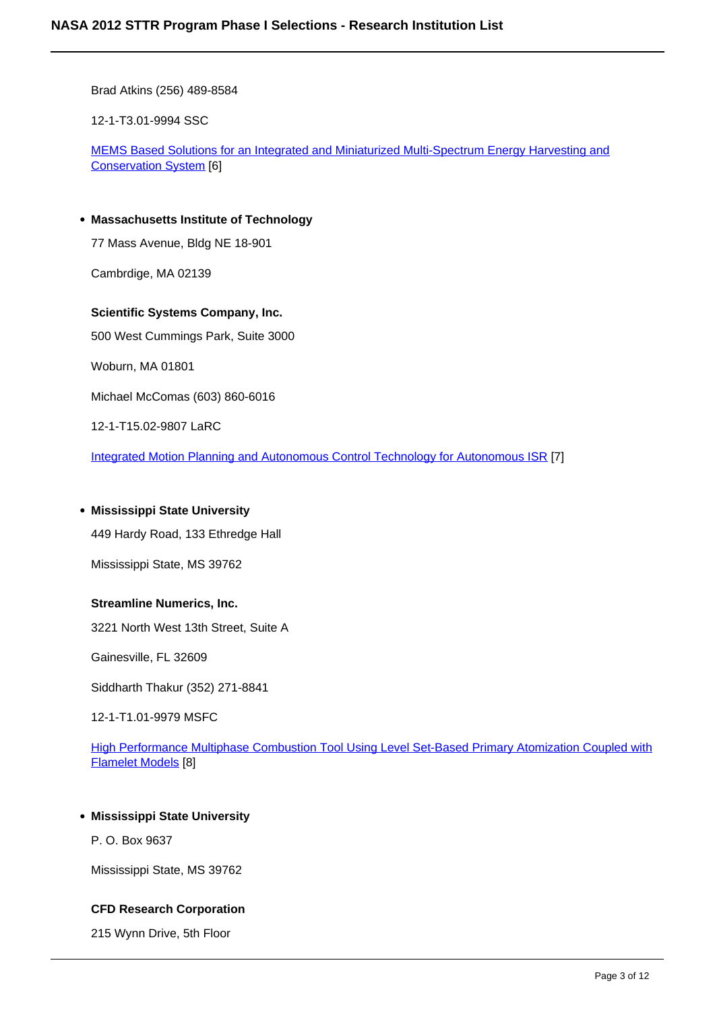Brad Atkins (256) 489-8584

12-1-T3.01-9994 SSC

MEMS Based Solutions for an Integrated and Miniaturized Multi-Spectrum Energy Harvesting and Conservation System [6]

**Massachusetts Institute of Technology** 77 Mass Avenue, Bldg NE 18-901

Cambrdige, MA 02139

**Scientific Systems Company, Inc.**

500 West Cummings Park, Suite 3000

Woburn, MA 01801

Michael McComas (603) 860-6016

12-1-T15.02-9807 LaRC

Integrated Motion Planning and Autonomous Control Technology for Autonomous ISR [7]

#### **Mississippi State University**

449 Hardy Road, 133 Ethredge Hall

Mississippi State, MS 39762

#### **Streamline Numerics, Inc.**

3221 North West 13th Street, Suite A

Gainesville, FL 32609

Siddharth Thakur (352) 271-8841

12-1-T1.01-9979 MSFC

High Performance Multiphase Combustion Tool Using Level Set-Based Primary Atomization Coupled with Flamelet Models [8]

#### **Mississippi State University**

P. O. Box 9637

Mississippi State, MS 39762

#### **CFD Research Corporation**

215 Wynn Drive, 5th Floor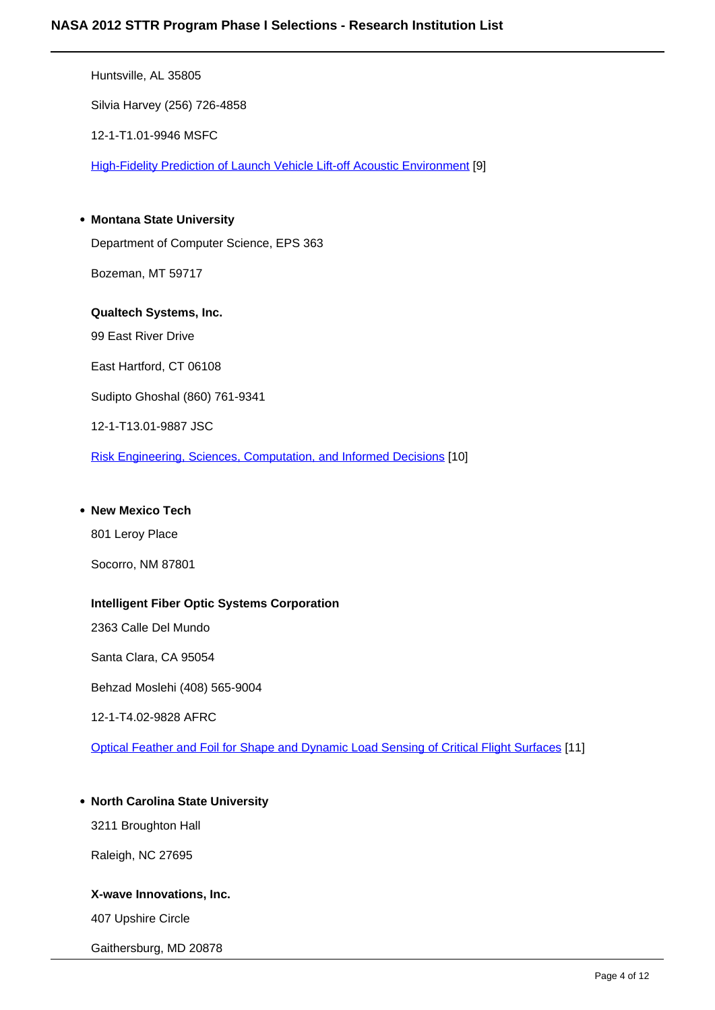Huntsville, AL 35805 Silvia Harvey (256) 726-4858 12-1-T1.01-9946 MSFC High-Fidelity Prediction of Launch Vehicle Lift-off Acoustic Environment [9] **Montana State University** Department of Computer Science, EPS 363 Bozeman, MT 59717 **Qualtech Systems, Inc.** 99 East River Drive East Hartford, CT 06108 Sudipto Ghoshal (860) 761-9341 12-1-T13.01-9887 JSC

Risk Engineering, Sciences, Computation, and Informed Decisions [10]

#### **New Mexico Tech**

801 Leroy Place

Socorro, NM 87801

#### **Intelligent Fiber Optic Systems Corporation**

2363 Calle Del Mundo

Santa Clara, CA 95054

Behzad Moslehi (408) 565-9004

12-1-T4.02-9828 AFRC

Optical Feather and Foil for Shape and Dynamic Load Sensing of Critical Flight Surfaces [11]

#### **North Carolina State University**

3211 Broughton Hall

Raleigh, NC 27695

#### **X-wave Innovations, Inc.**

407 Upshire Circle

Gaithersburg, MD 20878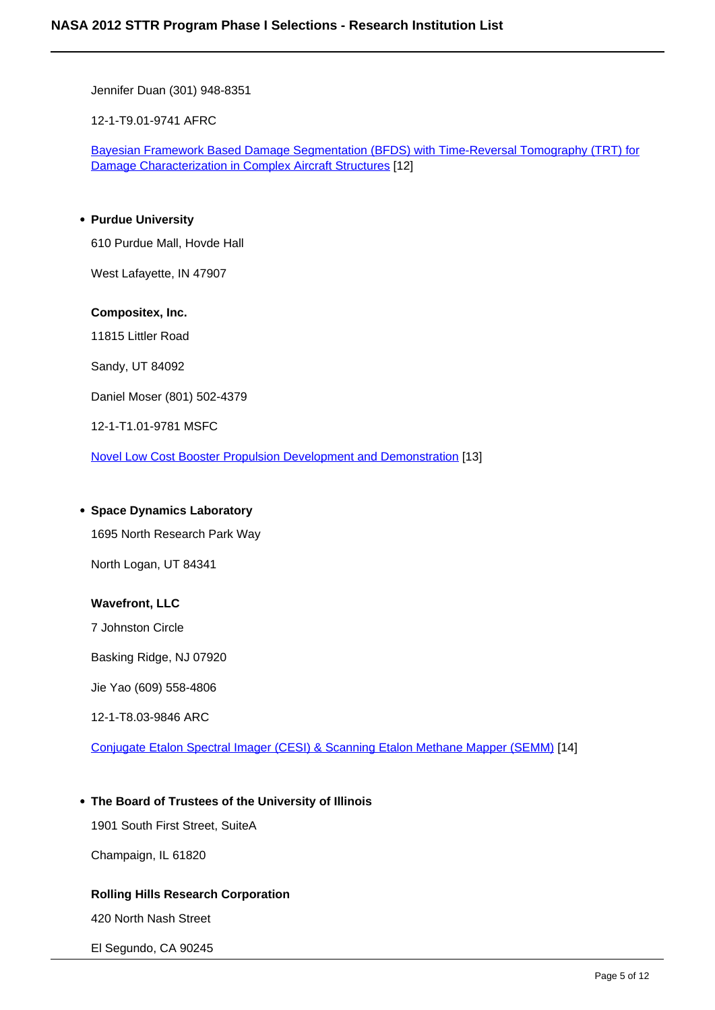Jennifer Duan (301) 948-8351

12-1-T9.01-9741 AFRC

Bayesian Framework Based Damage Segmentation (BFDS) with Time-Reversal Tomography (TRT) for Damage Characterization in Complex Aircraft Structures [12]

#### **Purdue University**

610 Purdue Mall, Hovde Hall

West Lafayette, IN 47907

**Compositex, Inc.** 11815 Littler Road

Sandy, UT 84092

Daniel Moser (801) 502-4379

12-1-T1.01-9781 MSFC

Novel Low Cost Booster Propulsion Development and Demonstration [13]

#### **Space Dynamics Laboratory**

1695 North Research Park Way

North Logan, UT 84341

#### **Wavefront, LLC**

7 Johnston Circle

Basking Ridge, NJ 07920

Jie Yao (609) 558-4806

12-1-T8.03-9846 ARC

Conjugate Etalon Spectral Imager (CESI) & Scanning Etalon Methane Mapper (SEMM) [14]

#### **The Board of Trustees of the University of Illinois**

1901 South First Street, SuiteA

Champaign, IL 61820

#### **Rolling Hills Research Corporation**

420 North Nash Street

El Segundo, CA 90245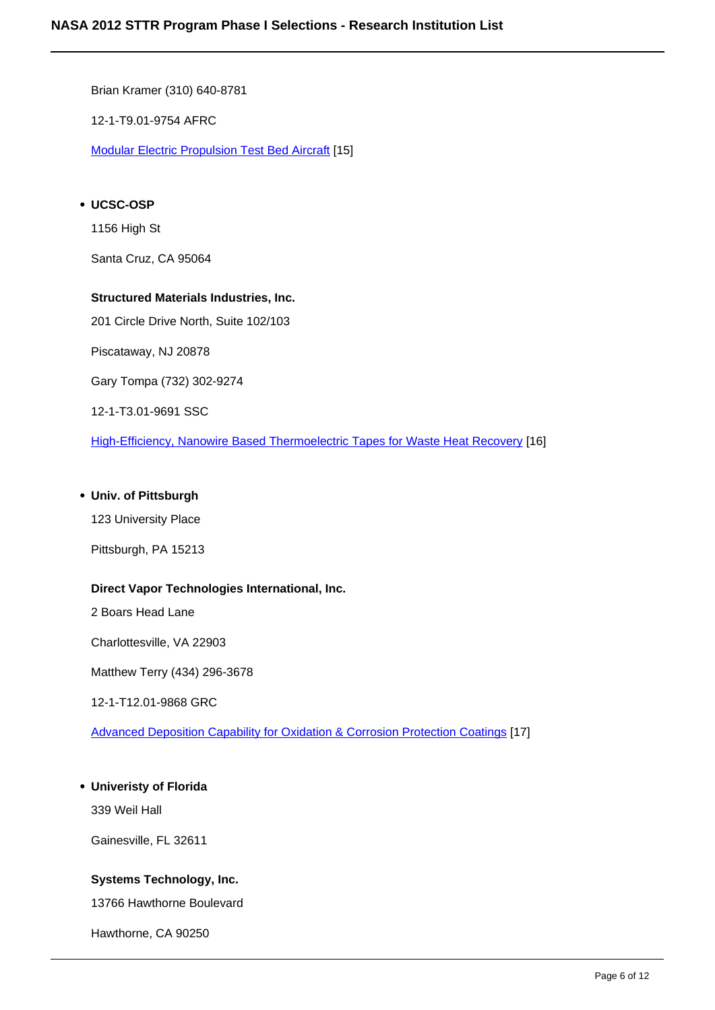Brian Kramer (310) 640-8781

12-1-T9.01-9754 AFRC

Modular Electric Propulsion Test Bed Aircraft [15]

## **UCSC-OSP**

1156 High St

Santa Cruz, CA 95064

# **Structured Materials Industries, Inc.**

201 Circle Drive North, Suite 102/103

Piscataway, NJ 20878

Gary Tompa (732) 302-9274

12-1-T3.01-9691 SSC

High-Efficiency, Nanowire Based Thermoelectric Tapes for Waste Heat Recovery [16]

#### **Univ. of Pittsburgh**

123 University Place

Pittsburgh, PA 15213

#### **Direct Vapor Technologies International, Inc.**

2 Boars Head Lane

Charlottesville, VA 22903

Matthew Terry (434) 296-3678

12-1-T12.01-9868 GRC

Advanced Deposition Capability for Oxidation & Corrosion Protection Coatings [17]

#### **Univeristy of Florida**

339 Weil Hall

Gainesville, FL 32611

#### **Systems Technology, Inc.**

13766 Hawthorne Boulevard

Hawthorne, CA 90250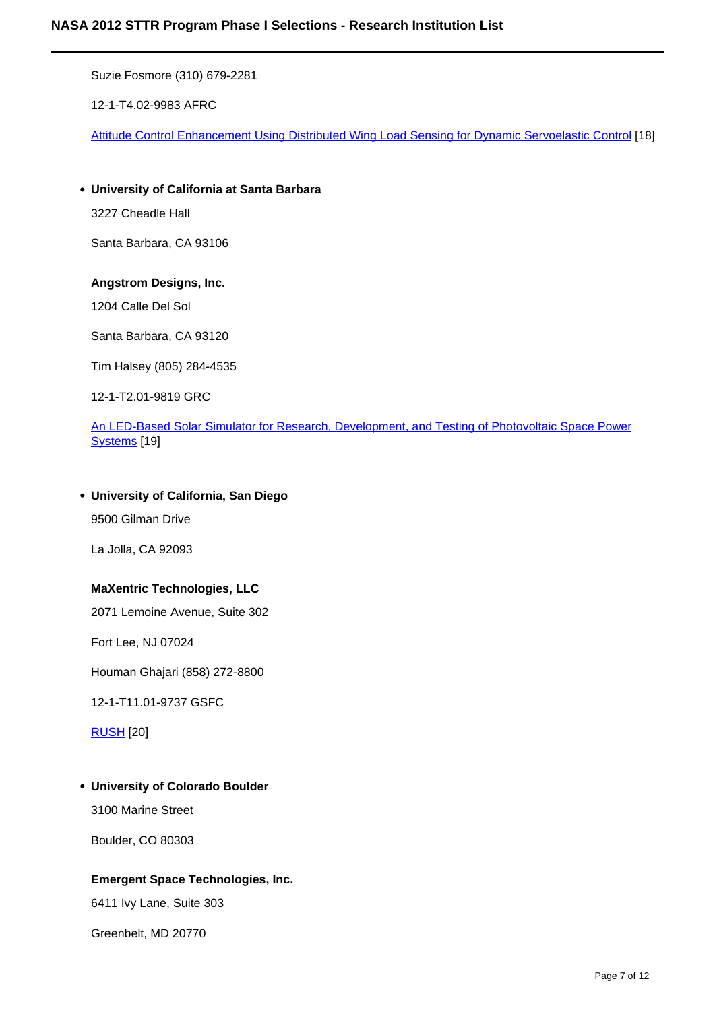Suzie Fosmore (310) 679-2281

12-1-T4.02-9983 AFRC

Attitude Control Enhancement Using Distributed Wing Load Sensing for Dynamic Servoelastic Control [18]

#### **University of California at Santa Barbara**

3227 Cheadle Hall

Santa Barbara, CA 93106

#### **Angstrom Designs, Inc.**

1204 Calle Del Sol

Santa Barbara, CA 93120

Tim Halsey (805) 284-4535

12-1-T2.01-9819 GRC

An LED-Based Solar Simulator for Research, Development, and Testing of Photovoltaic Space Power Systems [19]

#### **University of California, San Diego**

9500 Gilman Drive

La Jolla, CA 92093

#### **MaXentric Technologies, LLC**

2071 Lemoine Avenue, Suite 302

Fort Lee, NJ 07024

Houman Ghajari (858) 272-8800

12-1-T11.01-9737 GSFC

RUSH [20]

#### **University of Colorado Boulder**

3100 Marine Street

Boulder, CO 80303

#### **Emergent Space Technologies, Inc.**

6411 Ivy Lane, Suite 303

Greenbelt, MD 20770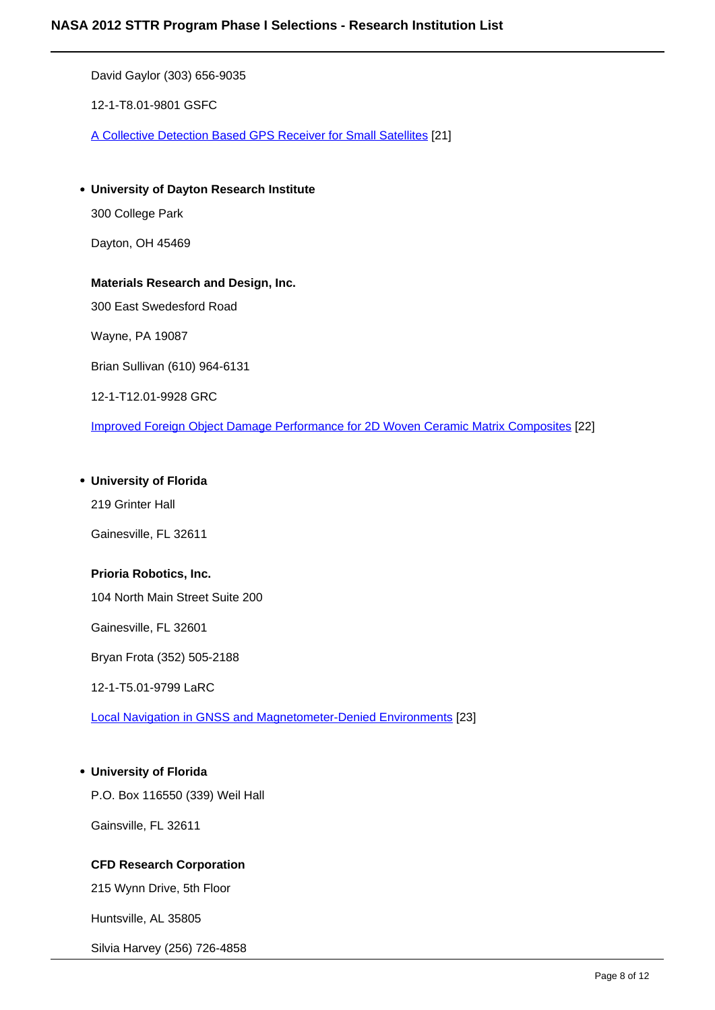David Gaylor (303) 656-9035

12-1-T8.01-9801 GSFC

A Collective Detection Based GPS Receiver for Small Satellites [21]

**University of Dayton Research Institute**

300 College Park

Dayton, OH 45469

#### **Materials Research and Design, Inc.**

300 East Swedesford Road

Wayne, PA 19087

Brian Sullivan (610) 964-6131

12-1-T12.01-9928 GRC

Improved Foreign Object Damage Performance for 2D Woven Ceramic Matrix Composites [22]

#### **University of Florida**

219 Grinter Hall

Gainesville, FL 32611

#### **Prioria Robotics, Inc.**

104 North Main Street Suite 200

Gainesville, FL 32601

Bryan Frota (352) 505-2188

12-1-T5.01-9799 LaRC

Local Navigation in GNSS and Magnetometer-Denied Environments [23]

#### **University of Florida**

P.O. Box 116550 (339) Weil Hall

Gainsville, FL 32611

#### **CFD Research Corporation**

215 Wynn Drive, 5th Floor

Huntsville, AL 35805

Silvia Harvey (256) 726-4858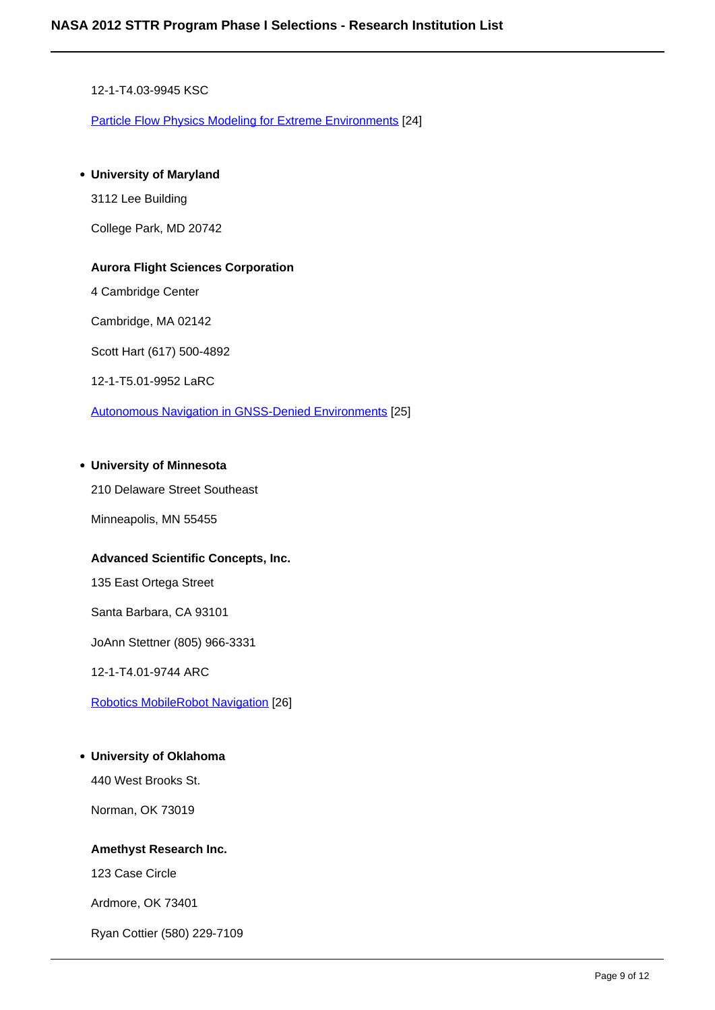12-1-T4.03-9945 KSC

Particle Flow Physics Modeling for Extreme Environments [24]

#### **University of Maryland**

3112 Lee Building

College Park, MD 20742

#### **Aurora Flight Sciences Corporation**

4 Cambridge Center

Cambridge, MA 02142

Scott Hart (617) 500-4892

12-1-T5.01-9952 LaRC

Autonomous Navigation in GNSS-Denied Environments [25]

#### **University of Minnesota**

210 Delaware Street Southeast

Minneapolis, MN 55455

#### **Advanced Scientific Concepts, Inc.**

135 East Ortega Street

Santa Barbara, CA 93101

JoAnn Stettner (805) 966-3331

12-1-T4.01-9744 ARC

Robotics MobileRobot Navigation [26]

#### **University of Oklahoma**

440 West Brooks St.

Norman, OK 73019

#### **Amethyst Research Inc.**

123 Case Circle

Ardmore, OK 73401

Ryan Cottier (580) 229-7109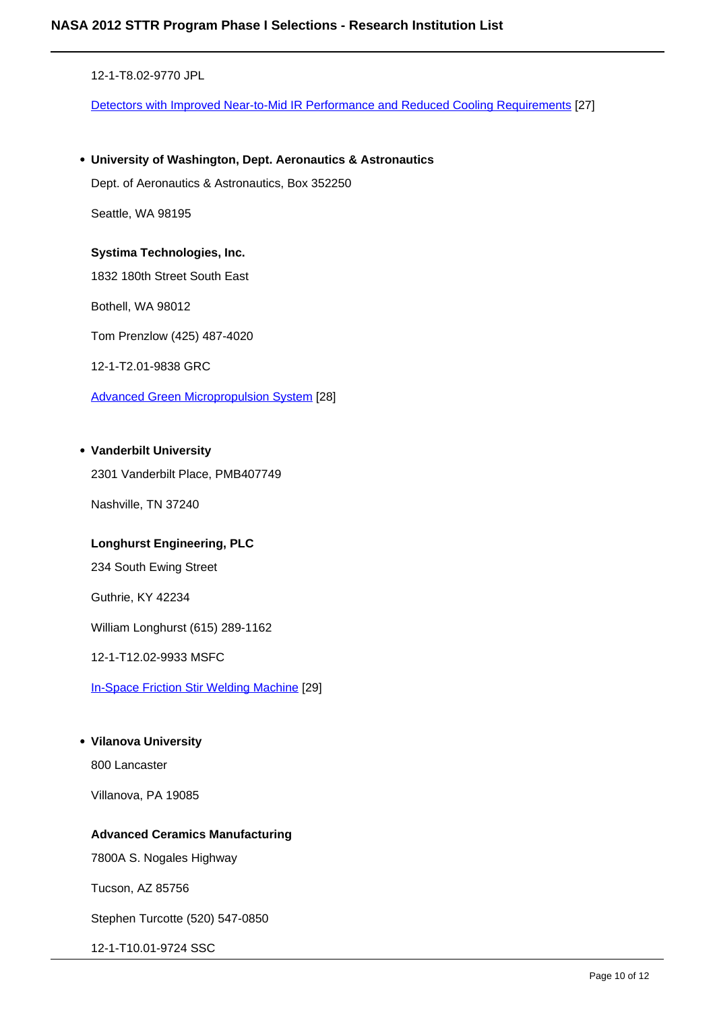#### 12-1-T8.02-9770 JPL

Detectors with Improved Near-to-Mid IR Performance and Reduced Cooling Requirements [27]

#### **University of Washington, Dept. Aeronautics & Astronautics**

Dept. of Aeronautics & Astronautics, Box 352250

Seattle, WA 98195

#### **Systima Technologies, Inc.**

1832 180th Street South East

Bothell, WA 98012

Tom Prenzlow (425) 487-4020

12-1-T2.01-9838 GRC

Advanced Green Micropropulsion System [28]

#### **Vanderbilt University**

2301 Vanderbilt Place, PMB407749

Nashville, TN 37240

#### **Longhurst Engineering, PLC**

234 South Ewing Street

Guthrie, KY 42234

William Longhurst (615) 289-1162

12-1-T12.02-9933 MSFC

In-Space Friction Stir Welding Machine [29]

#### **Vilanova University**

800 Lancaster

Villanova, PA 19085

#### **Advanced Ceramics Manufacturing**

7800A S. Nogales Highway

Tucson, AZ 85756

Stephen Turcotte (520) 547-0850

12-1-T10.01-9724 SSC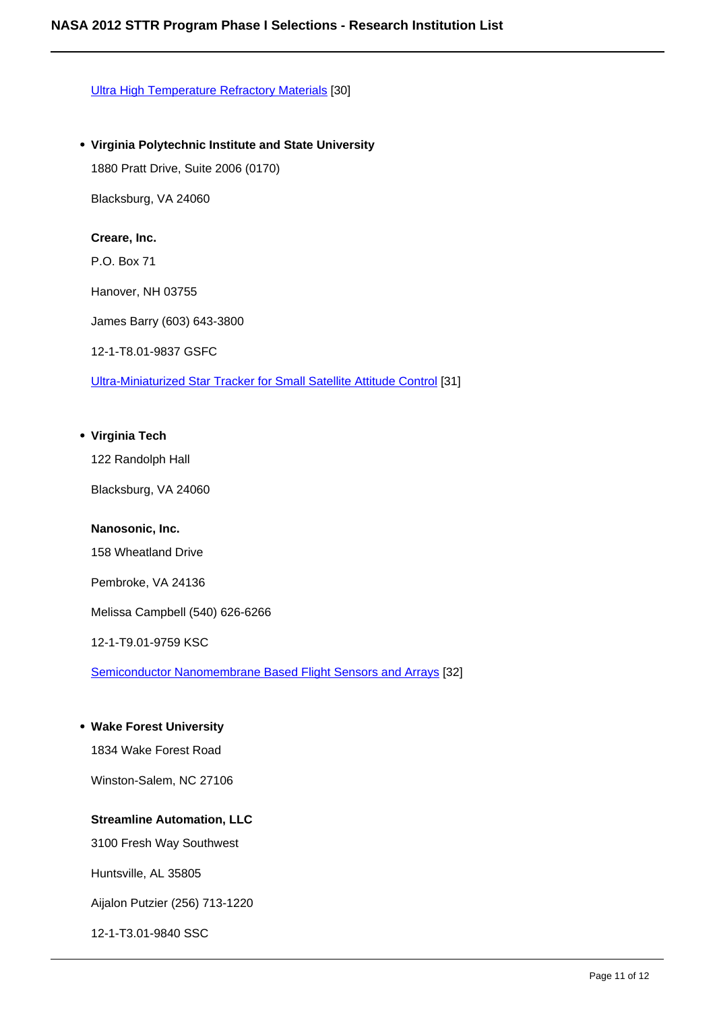#### Ultra High Temperature Refractory Materials [30]

**Virginia Polytechnic Institute and State University** 1880 Pratt Drive, Suite 2006 (0170)

Blacksburg, VA 24060

#### **Creare, Inc.**

P.O. Box 71

Hanover, NH 03755

James Barry (603) 643-3800

12-1-T8.01-9837 GSFC

Ultra-Miniaturized Star Tracker for Small Satellite Attitude Control [31]

#### **Virginia Tech**

122 Randolph Hall

Blacksburg, VA 24060

#### **Nanosonic, Inc.**

158 Wheatland Drive

Pembroke, VA 24136

Melissa Campbell (540) 626-6266

12-1-T9.01-9759 KSC

Semiconductor Nanomembrane Based Flight Sensors and Arrays [32]

#### **Wake Forest University**

1834 Wake Forest Road

Winston-Salem, NC 27106

## **Streamline Automation, LLC**

3100 Fresh Way Southwest

Huntsville, AL 35805

Aijalon Putzier (256) 713-1220

12-1-T3.01-9840 SSC